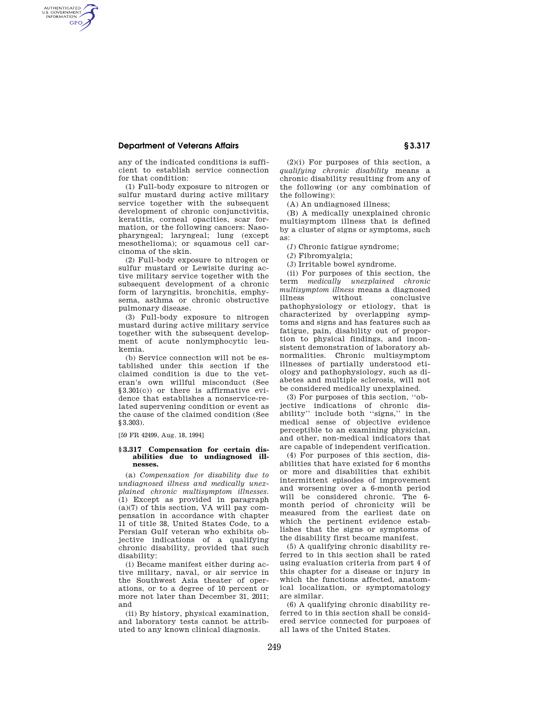# **Department of Veterans Affairs § 3.317**

AUTHENTICATED<br>U.S. GOVERNMENT<br>INFORMATION **GPO** 

> any of the indicated conditions is sufficient to establish service connection for that condition:

(1) Full-body exposure to nitrogen or sulfur mustard during active military service together with the subsequent development of chronic conjunctivitis, keratitis, corneal opacities, scar formation, or the following cancers: Nasopharyngeal; laryngeal; lung (except mesothelioma); or squamous cell carcinoma of the skin.

(2) Full-body exposure to nitrogen or sulfur mustard or Lewisite during active military service together with the subsequent development of a chronic form of laryngitis, bronchitis, emphysema, asthma or chronic obstructive pulmonary disease.

(3) Full-body exposure to nitrogen mustard during active military service together with the subsequent development of acute nonlymphocytic leukemia.

(b) Service connection will not be established under this section if the claimed condition is due to the veteran's own willful misconduct (See §3.301(c)) or there is affirmative evidence that establishes a nonservice-related supervening condition or event as the cause of the claimed condition (See §3.303).

[59 FR 42499, Aug. 18, 1994]

### **§ 3.317 Compensation for certain disabilities due to undiagnosed illnesses.**

(a) *Compensation for disability due to undiagnosed illness and medically unexplained chronic multisymptom illnesses.*  (1) Except as provided in paragraph (a)(7) of this section, VA will pay compensation in accordance with chapter 11 of title 38, United States Code, to a Persian Gulf veteran who exhibits objective indications of a qualifying chronic disability, provided that such disability:

(i) Became manifest either during active military, naval, or air service in the Southwest Asia theater of operations, or to a degree of 10 percent or more not later than December 31, 2011; and

(ii) By history, physical examination, and laboratory tests cannot be attributed to any known clinical diagnosis.

(2)(i) For purposes of this section, a *qualifying chronic disability* means a chronic disability resulting from any of the following (or any combination of the following):

(A) An undiagnosed illness;

(B) A medically unexplained chronic multisymptom illness that is defined by a cluster of signs or symptoms, such as:

(*1*) Chronic fatigue syndrome;

(*2*) Fibromyalgia;

(*3*) Irritable bowel syndrome.

(ii) For purposes of this section, the term *medically unexplained chronic multisymptom illness* means a diagnosed illness without conclusive pathophysiology or etiology, that is characterized by overlapping symptoms and signs and has features such as fatigue, pain, disability out of proportion to physical findings, and inconsistent demonstration of laboratory abnormalities. Chronic multisymptom illnesses of partially understood etiology and pathophysiology, such as diabetes and multiple sclerosis, will not be considered medically unexplained.

(3) For purposes of this section, ''objective indications of chronic disability'' include both ''signs,'' in the medical sense of objective evidence perceptible to an examining physician, and other, non-medical indicators that are capable of independent verification.

(4) For purposes of this section, disabilities that have existed for 6 months or more and disabilities that exhibit intermittent episodes of improvement and worsening over a 6-month period will be considered chronic. The 6 month period of chronicity will be measured from the earliest date on which the pertinent evidence establishes that the signs or symptoms of the disability first became manifest.

(5) A qualifying chronic disability referred to in this section shall be rated using evaluation criteria from part 4 of this chapter for a disease or injury in which the functions affected, anatomical localization, or symptomatology are similar.

(6) A qualifying chronic disability referred to in this section shall be considered service connected for purposes of all laws of the United States.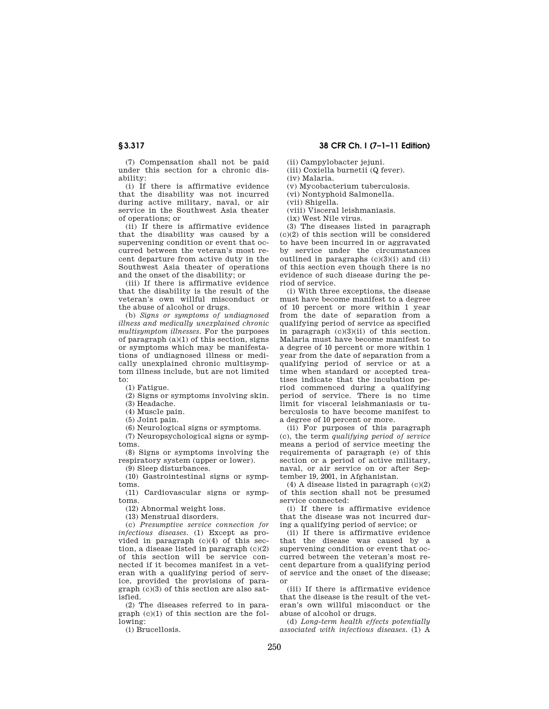(7) Compensation shall not be paid under this section for a chronic disability:

(i) If there is affirmative evidence that the disability was not incurred during active military, naval, or air service in the Southwest Asia theater of operations; or

(ii) If there is affirmative evidence that the disability was caused by a supervening condition or event that occurred between the veteran's most recent departure from active duty in the Southwest Asia theater of operations and the onset of the disability; or

(iii) If there is affirmative evidence that the disability is the result of the veteran's own willful misconduct or the abuse of alcohol or drugs.

(b) *Signs or symptoms of undiagnosed illness and medically unexplained chronic multisymptom illnesses.* For the purposes of paragraph (a)(1) of this section, signs or symptoms which may be manifestations of undiagnosed illness or medically unexplained chronic multisymptom illness include, but are not limited to:

(1) Fatigue.

(2) Signs or symptoms involving skin.

(3) Headache.

(4) Muscle pain.

(5) Joint pain.

(6) Neurological signs or symptoms.

(7) Neuropsychological signs or symptoms.

(8) Signs or symptoms involving the respiratory system (upper or lower).

(9) Sleep disturbances.

(10) Gastrointestinal signs or symptoms.

(11) Cardiovascular signs or symptoms.

(12) Abnormal weight loss.

(13) Menstrual disorders.

(c) *Presumptive service connection for infectious diseases.* (1) Except as provided in paragraph  $(c)(4)$  of this section, a disease listed in paragraph (c)(2) of this section will be service connected if it becomes manifest in a veteran with a qualifying period of service, provided the provisions of paragraph (c)(3) of this section are also satisfied.

(2) The diseases referred to in paragraph (c)(1) of this section are the following:

(i) Brucellosis.

(ii) Campylobacter jejuni.

(iii) Coxiella burnetii (Q fever). (iv) Malaria.

(v) Mycobacterium tuberculosis.

(vi) Nontyphoid Salmonella.

(vii) Shigella.

(viii) Visceral leishmaniasis.

(ix) West Nile virus.

(3) The diseases listed in paragraph (c)(2) of this section will be considered to have been incurred in or aggravated by service under the circumstances outlined in paragraphs  $(c)(3)(i)$  and  $(ii)$ of this section even though there is no evidence of such disease during the period of service.

(i) With three exceptions, the disease must have become manifest to a degree of 10 percent or more within 1 year from the date of separation from a qualifying period of service as specified in paragraph (c)(3)(ii) of this section. Malaria must have become manifest to a degree of 10 percent or more within 1 year from the date of separation from a qualifying period of service or at a time when standard or accepted treatises indicate that the incubation period commenced during a qualifying period of service. There is no time limit for visceral leishmaniasis or tuberculosis to have become manifest to a degree of 10 percent or more.

(ii) For purposes of this paragraph (c), the term *qualifying period of service*  means a period of service meeting the requirements of paragraph (e) of this section or a period of active military, naval, or air service on or after September 19, 2001, in Afghanistan.

(4) A disease listed in paragraph (c)(2) of this section shall not be presumed service connected:

(i) If there is affirmative evidence that the disease was not incurred during a qualifying period of service; or

(ii) If there is affirmative evidence that the disease was caused by a supervening condition or event that occurred between the veteran's most recent departure from a qualifying period of service and the onset of the disease; or

(iii) If there is affirmative evidence that the disease is the result of the veteran's own willful misconduct or the abuse of alcohol or drugs.

(d) *Long-term health effects potentially associated with infectious diseases.* (1) A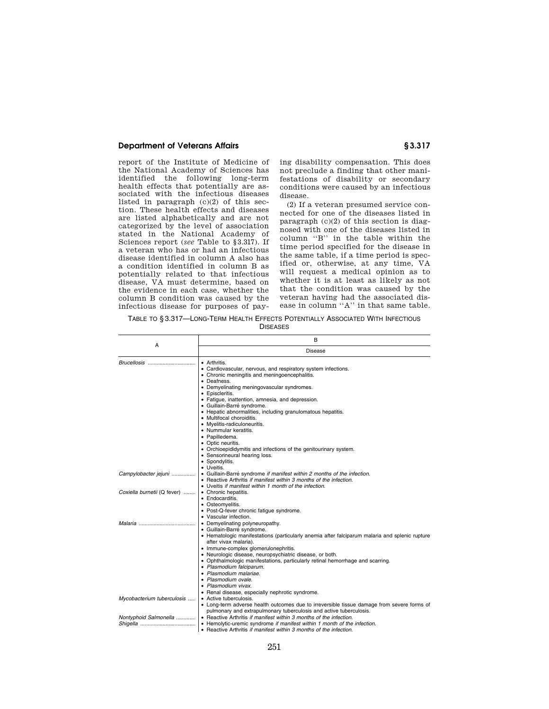# **Department of Veterans Affairs** <br> **S** 3.317

report of the Institute of Medicine of the National Academy of Sciences has identified the following long-term health effects that potentially are associated with the infectious diseases listed in paragraph (c)(2) of this section. These health effects and diseases are listed alphabetically and are not categorized by the level of association stated in the National Academy of Sciences report (*see* Table to §3.317). If a veteran who has or had an infectious disease identified in column A also has a condition identified in column B as potentially related to that infectious disease, VA must determine, based on the evidence in each case, whether the column B condition was caused by the infectious disease for purposes of paying disability compensation. This does not preclude a finding that other manifestations of disability or secondary conditions were caused by an infectious disease.

(2) If a veteran presumed service connected for one of the diseases listed in paragraph (c)(2) of this section is diagnosed with one of the diseases listed in column ''B'' in the table within the time period specified for the disease in the same table, if a time period is specified or, otherwise, at any time, VA will request a medical opinion as to whether it is at least as likely as not that the condition was caused by the veteran having had the associated disease in column "A" in that same table.

TABLE TO § 3.317—LONG-TERM HEALTH EFFECTS POTENTIALLY ASSOCIATED WITH INFECTIOUS **DISEASES** 

|                             | B                                                                                              |
|-----------------------------|------------------------------------------------------------------------------------------------|
| А                           | Disease                                                                                        |
| Brucellosis                 | • Arthritis.                                                                                   |
|                             | • Cardiovascular, nervous, and respiratory system infections.                                  |
|                             | • Chronic meningitis and meningoencephalitis.                                                  |
|                             | • Deafness.                                                                                    |
|                             | • Demyelinating meningovascular syndromes.                                                     |
|                             | • Episcleritis.                                                                                |
|                             | • Fatigue, inattention, amnesia, and depression.                                               |
|                             | · Guillain-Barré syndrome.                                                                     |
|                             | • Hepatic abnormalities, including granulomatous hepatitis.                                    |
|                             | · Multifocal choroiditis.                                                                      |
|                             | • Myelitis-radiculoneuritis.                                                                   |
|                             | • Nummular keratitis.                                                                          |
|                             | • Papilledema.                                                                                 |
|                             | • Optic neuritis.                                                                              |
|                             | • Orchioepididymitis and infections of the genitourinary system.                               |
|                             | • Sensorineural hearing loss.                                                                  |
|                             | • Spondylitis.                                                                                 |
|                             | • Uveitis.                                                                                     |
| Campylobacter jejuni        | • Guillain-Barré syndrome if manifest within 2 months of the infection.                        |
|                             | • Reactive Arthritis if manifest within 3 months of the infection.                             |
|                             | • Uveitis if manifest within 1 month of the infection.                                         |
| Coxiella burnetii (Q fever) | • Chronic hepatitis.                                                                           |
|                             | • Endocarditis.                                                                                |
|                             | • Osteomyelitis.                                                                               |
|                             | • Post-Q-fever chronic fatigue syndrome.                                                       |
|                             | • Vascular infection.                                                                          |
|                             | • Demyelinating polyneuropathy.                                                                |
|                             | · Guillain-Barré syndrome.                                                                     |
|                             | • Hematologic manifestations (particularly anemia after falciparum malaria and splenic rupture |
|                             | after vivax malaria).                                                                          |
|                             | • Immune-complex glomerulonephritis.                                                           |
|                             | · Neurologic disease, neuropsychiatric disease, or both.                                       |
|                             | • Ophthalmologic manifestations, particularly retinal hemorrhage and scarring.                 |
|                             | • Plasmodium falciparum.                                                                       |
|                             | • Plasmodium malariae.                                                                         |
|                             | • Plasmodium ovale.                                                                            |
|                             | • Plasmodium vivax.                                                                            |
|                             | • Renal disease, especially nephrotic syndrome.                                                |
| Mycobacterium tuberculosis  | • Active tuberculosis.                                                                         |
|                             | • Long-term adverse health outcomes due to irreversible tissue damage from severe forms of     |
|                             | pulmonary and extrapulmonary tuberculosis and active tuberculosis.                             |
| Nontyphoid Salmonella       | • Reactive Arthritis if manifest within 3 months of the infection.                             |
|                             | • Hemolytic-uremic syndrome if manifest within 1 month of the infection.                       |
|                             | • Reactive Arthritis if manifest within 3 months of the infection.                             |